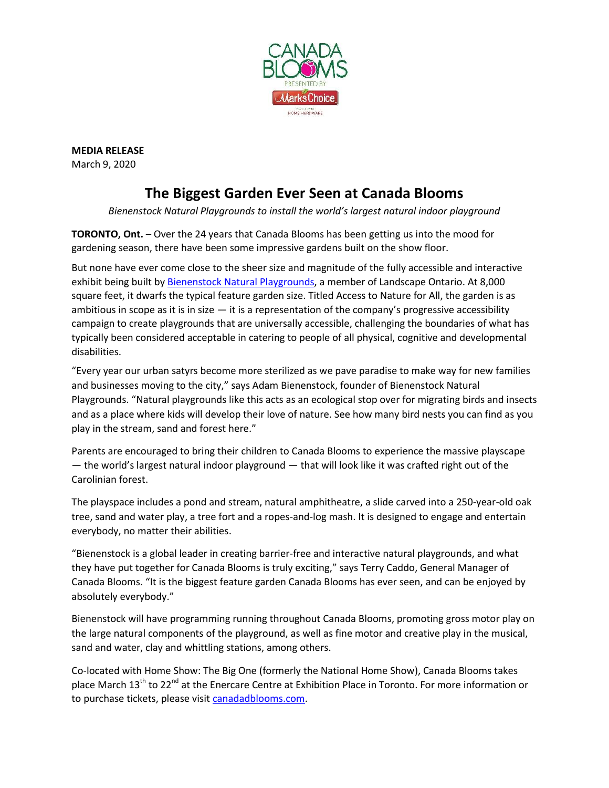

**MEDIA RELEASE** March 9, 2020

## **The Biggest Garden Ever Seen at Canada Blooms**

*Bienenstock Natural Playgrounds to install the world's largest natural indoor playground*

**TORONTO, Ont.** – Over the 24 years that Canada Blooms has been getting us into the mood for gardening season, there have been some impressive gardens built on the show floor.

But none have ever come close to the sheer size and magnitude of the fully accessible and interactive exhibit being built by [Bienenstock Natural Playgrounds,](https://www.naturalplaygrounds.ca/) a member of Landscape Ontario. At 8,000 square feet, it dwarfs the typical feature garden size. Titled Access to Nature for All, the garden is as ambitious in scope as it is in size  $-$  it is a representation of the company's progressive accessibility campaign to create playgrounds that are universally accessible, challenging the boundaries of what has typically been considered acceptable in catering to people of all physical, cognitive and developmental disabilities.

"Every year our urban satyrs become more sterilized as we pave paradise to make way for new families and businesses moving to the city," says Adam Bienenstock, founder of Bienenstock Natural Playgrounds. "Natural playgrounds like this acts as an ecological stop over for migrating birds and insects and as a place where kids will develop their love of nature. See how many bird nests you can find as you play in the stream, sand and forest here."

Parents are encouraged to bring their children to Canada Blooms to experience the massive playscape — the world's largest natural indoor playground — that will look like it was crafted right out of the Carolinian forest.

The playspace includes a pond and stream, natural amphitheatre, a slide carved into a 250-year-old oak tree, sand and water play, a tree fort and a ropes-and-log mash. It is designed to engage and entertain everybody, no matter their abilities.

"Bienenstock is a global leader in creating barrier-free and interactive natural playgrounds, and what they have put together for Canada Blooms is truly exciting," says Terry Caddo, General Manager of Canada Blooms. "It is the biggest feature garden Canada Blooms has ever seen, and can be enjoyed by absolutely everybody."

Bienenstock will have programming running throughout Canada Blooms, promoting gross motor play on the large natural components of the playground, as well as fine motor and creative play in the musical, sand and water, clay and whittling stations, among others.

Co-located with Home Show: The Big One (formerly the National Home Show), Canada Blooms takes place March 13<sup>th</sup> to 22<sup>nd</sup> at the Enercare Centre at Exhibition Place in Toronto. For more information or to purchase tickets, please visi[t canadadblooms.com.](http://www.canadablooms.com/)